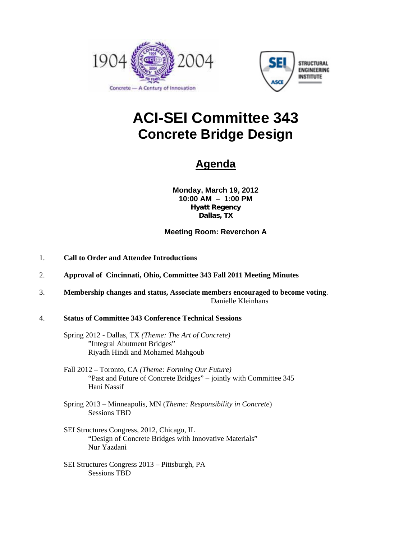



# **ACI-SEI Committee 343 Concrete Bridge Design**

# **Agenda**

**Monday, March 19, 2012 10:00 AM – 1:00 PM Hyatt Regency Dallas, TX** 

### **Meeting Room: Reverchon A**

- 1. **Call to Order and Attendee Introductions**
- 2. **Approval of Cincinnati, Ohio, Committee 343 Fall 2011 Meeting Minutes**
- 3. **Membership changes and status, Associate members encouraged to become voting**. Danielle Kleinhans

#### 4. **Status of Committee 343 Conference Technical Sessions**

- Spring 2012 Dallas, TX *(Theme: The Art of Concrete)* "Integral Abutment Bridges" Riyadh Hindi and Mohamed Mahgoub
- Fall 2012 Toronto, CA *(Theme: Forming Our Future)* "Past and Future of Concrete Bridges" – jointly with Committee 345 Hani Nassif
- Spring 2013 Minneapolis, MN (*Theme: Responsibility in Concrete*) Sessions TBD
- SEI Structures Congress, 2012, Chicago, IL "Design of Concrete Bridges with Innovative Materials" Nur Yazdani
- SEI Structures Congress 2013 Pittsburgh, PA Sessions TBD